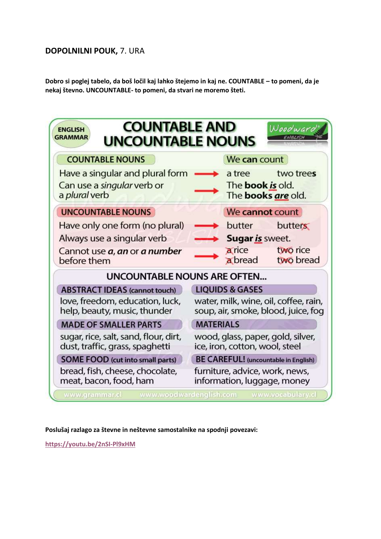## **DOPOLNILNI POUK,** 7. URA

**Dobro si poglej tabelo, da boš ločil kaj lahko štejemo in kaj ne. COUNTABLE – to pomeni, da je nekaj števno. UNCOUNTABLE- to pomeni, da stvari ne moremo šteti.**

| <b>COUNTABLE AND</b><br>Woodward<br><b>ENGLISH</b><br><b>GRAMMAR</b><br><b>FAIRLISH</b><br><b>UNCOUNTABLE NOUNS</b> |                                                                              |
|---------------------------------------------------------------------------------------------------------------------|------------------------------------------------------------------------------|
| <b>COUNTABLE NOUNS</b>                                                                                              | We can count                                                                 |
| Have a singular and plural form<br>Can use a <i>singular</i> verb or<br>a plural verb                               | two trees<br>a tree<br>The <b>book is</b> old.<br>The <b>books are</b> old.  |
| <b>UNCOUNTABLE NOUNS</b>                                                                                            | We cannot count                                                              |
| Have only one form (no plural)                                                                                      | butter<br>butters                                                            |
| Always use a singular verb                                                                                          | Sugar is sweet.                                                              |
| Cannot use <i>a</i> , an or a number<br>before them                                                                 | a rice<br>two rice<br>a bread<br>two bread                                   |
| <b>UNCOUNTABLE NOUNS ARE OFTEN</b>                                                                                  |                                                                              |
| <b>ABSTRACT IDEAS (cannot touch)</b>                                                                                | <b>LIQUIDS &amp; GASES</b>                                                   |
| love, freedom, education, luck,<br>help, beauty, music, thunder                                                     | water, milk, wine, oil, coffee, rain,<br>soup, air, smoke, blood, juice, fog |
| <b>MADE OF SMALLER PARTS</b>                                                                                        | <b>MATERIALS</b>                                                             |
| sugar, rice, salt, sand, flour, dirt,<br>dust, traffic, grass, spaghetti                                            | wood, glass, paper, gold, silver,<br>ice, iron, cotton, wool, steel          |
| <b>SOME FOOD</b> (cut into small parts)                                                                             | <b>BE CAREFUL!</b> (uncountable in English)                                  |
| bread, fish, cheese, chocolate,<br>meat, bacon, food, ham                                                           | furniture, advice, work, news,<br>information, luggage, money                |
| www.woodwardenglish.com<br>www.vocabulary.cl<br>www.grammar.cl                                                      |                                                                              |

**Poslušaj razlago za števne in neštevne samostalnike na spodnji povezavi:**

**<https://youtu.be/2nSI-Pl9xHM>**